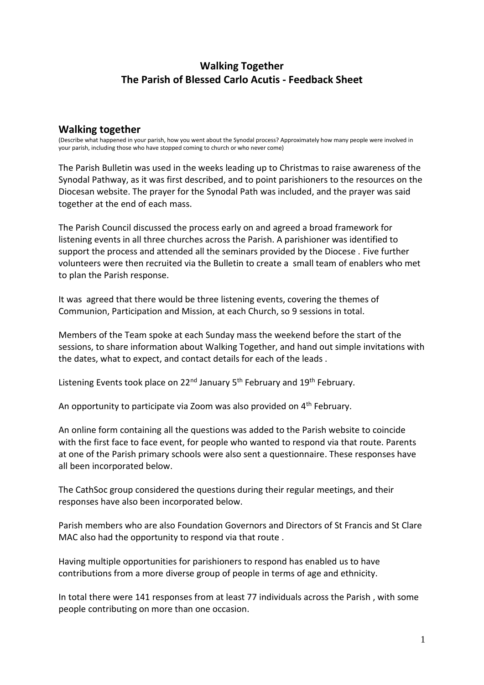# **Walking Together The Parish of Blessed Carlo Acutis - Feedback Sheet**

#### **Walking together**

(Describe what happened in your parish, how you went about the Synodal process? Approximately how many people were involved in your parish, including those who have stopped coming to church or who never come)

The Parish Bulletin was used in the weeks leading up to Christmas to raise awareness of the Synodal Pathway, as it was first described, and to point parishioners to the resources on the Diocesan website. The prayer for the Synodal Path was included, and the prayer was said together at the end of each mass.

The Parish Council discussed the process early on and agreed a broad framework for listening events in all three churches across the Parish. A parishioner was identified to support the process and attended all the seminars provided by the Diocese . Five further volunteers were then recruited via the Bulletin to create a small team of enablers who met to plan the Parish response.

It was agreed that there would be three listening events, covering the themes of Communion, Participation and Mission, at each Church, so 9 sessions in total.

Members of the Team spoke at each Sunday mass the weekend before the start of the sessions, to share information about Walking Together, and hand out simple invitations with the dates, what to expect, and contact details for each of the leads .

Listening Events took place on 22<sup>nd</sup> January 5<sup>th</sup> February and 19<sup>th</sup> February.

An opportunity to participate via Zoom was also provided on 4<sup>th</sup> February.

An online form containing all the questions was added to the Parish website to coincide with the first face to face event, for people who wanted to respond via that route. Parents at one of the Parish primary schools were also sent a questionnaire. These responses have all been incorporated below.

The CathSoc group considered the questions during their regular meetings, and their responses have also been incorporated below.

Parish members who are also Foundation Governors and Directors of St Francis and St Clare MAC also had the opportunity to respond via that route .

Having multiple opportunities for parishioners to respond has enabled us to have contributions from a more diverse group of people in terms of age and ethnicity.

In total there were 141 responses from at least 77 individuals across the Parish , with some people contributing on more than one occasion.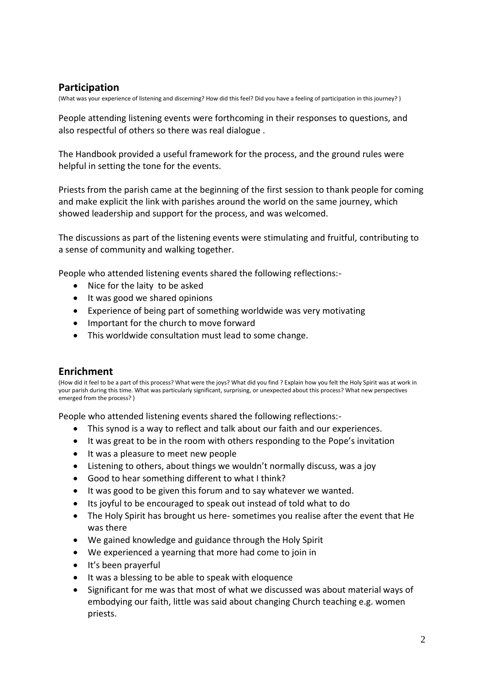### **Participation**

(What was your experience of listening and discerning? How did this feel? Did you have a feeling of participation in this journey? )

People attending listening events were forthcoming in their responses to questions, and also respectful of others so there was real dialogue .

The Handbook provided a useful framework for the process, and the ground rules were helpful in setting the tone for the events.

Priests from the parish came at the beginning of the first session to thank people for coming and make explicit the link with parishes around the world on the same journey, which showed leadership and support for the process, and was welcomed.

The discussions as part of the listening events were stimulating and fruitful, contributing to a sense of community and walking together.

People who attended listening events shared the following reflections:-

- Nice for the laity to be asked
- It was good we shared opinions
- Experience of being part of something worldwide was very motivating
- Important for the church to move forward
- This worldwide consultation must lead to some change.

#### **Enrichment**

(How did it feel to be a part of this process? What were the joys? What did you find ? Explain how you felt the Holy Spirit was at work in your parish during this time. What was particularly significant, surprising, or unexpected about this process? What new perspectives emerged from the process? )

People who attended listening events shared the following reflections:-

- This synod is a way to reflect and talk about our faith and our experiences.
- It was great to be in the room with others responding to the Pope's invitation
- It was a pleasure to meet new people
- Listening to others, about things we wouldn't normally discuss, was a joy
- Good to hear something different to what I think?
- It was good to be given this forum and to say whatever we wanted.
- Its joyful to be encouraged to speak out instead of told what to do
- The Holy Spirit has brought us here- sometimes you realise after the event that He was there
- We gained knowledge and guidance through the Holy Spirit
- We experienced a yearning that more had come to join in
- It's been prayerful
- It was a blessing to be able to speak with eloquence
- Significant for me was that most of what we discussed was about material ways of embodying our faith, little was said about changing Church teaching e.g. women priests.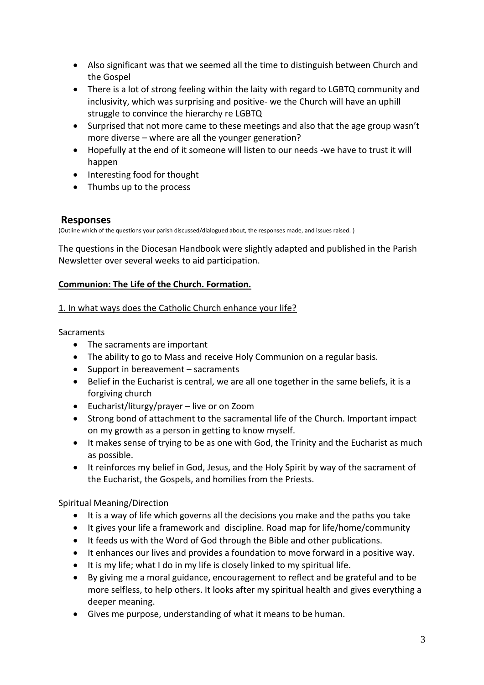- Also significant was that we seemed all the time to distinguish between Church and the Gospel
- There is a lot of strong feeling within the laity with regard to LGBTQ community and inclusivity, which was surprising and positive- we the Church will have an uphill struggle to convince the hierarchy re LGBTQ
- Surprised that not more came to these meetings and also that the age group wasn't more diverse – where are all the younger generation?
- Hopefully at the end of it someone will listen to our needs -we have to trust it will happen
- Interesting food for thought
- Thumbs up to the process

### **Responses**

(Outline which of the questions your parish discussed/dialogued about, the responses made, and issues raised. )

The questions in the Diocesan Handbook were slightly adapted and published in the Parish Newsletter over several weeks to aid participation.

### **Communion: The Life of the Church. Formation.**

#### 1. In what ways does the Catholic Church enhance your life?

#### **Sacraments**

- The sacraments are important
- The ability to go to Mass and receive Holy Communion on a regular basis.
- Support in bereavement sacraments
- Belief in the Eucharist is central, we are all one together in the same beliefs, it is a forgiving church
- Eucharist/liturgy/prayer live or on Zoom
- Strong bond of attachment to the sacramental life of the Church. Important impact on my growth as a person in getting to know myself.
- It makes sense of trying to be as one with God, the Trinity and the Eucharist as much as possible.
- It reinforces my belief in God, Jesus, and the Holy Spirit by way of the sacrament of the Eucharist, the Gospels, and homilies from the Priests.

Spiritual Meaning/Direction

- It is a way of life which governs all the decisions you make and the paths you take
- It gives your life a framework and discipline. Road map for life/home/community
- It feeds us with the Word of God through the Bible and other publications.
- It enhances our lives and provides a foundation to move forward in a positive way.
- It is my life; what I do in my life is closely linked to my spiritual life.
- By giving me a moral guidance, encouragement to reflect and be grateful and to be more selfless, to help others. It looks after my spiritual health and gives everything a deeper meaning.
- Gives me purpose, understanding of what it means to be human.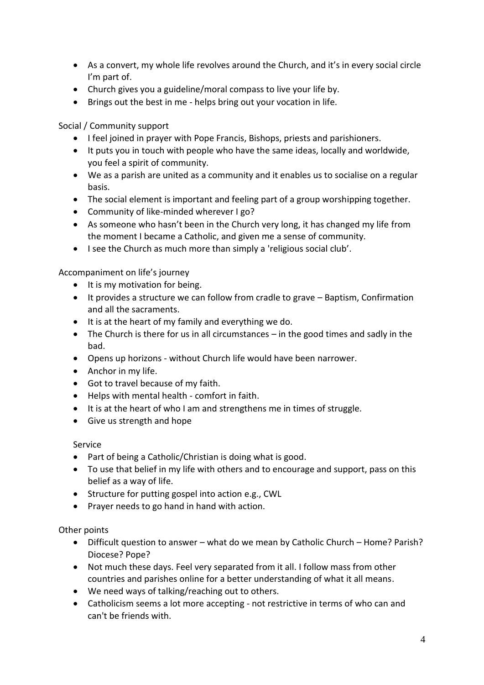- As a convert, my whole life revolves around the Church, and it's in every social circle I'm part of.
- Church gives you a guideline/moral compass to live your life by.
- Brings out the best in me helps bring out your vocation in life.

Social / Community support

- I feel joined in prayer with Pope Francis, Bishops, priests and parishioners.
- It puts you in touch with people who have the same ideas, locally and worldwide, you feel a spirit of community.
- We as a parish are united as a community and it enables us to socialise on a regular basis.
- The social element is important and feeling part of a group worshipping together.
- Community of like-minded wherever I go?
- As someone who hasn't been in the Church very long, it has changed my life from the moment I became a Catholic, and given me a sense of community.
- I see the Church as much more than simply a 'religious social club'.

Accompaniment on life's journey

- It is my motivation for being.
- It provides a structure we can follow from cradle to grave Baptism, Confirmation and all the sacraments.
- It is at the heart of my family and everything we do.
- The Church is there for us in all circumstances in the good times and sadly in the bad.
- Opens up horizons without Church life would have been narrower.
- Anchor in my life.
- Got to travel because of my faith.
- Helps with mental health comfort in faith.
- It is at the heart of who I am and strengthens me in times of struggle.
- Give us strength and hope

Service

- Part of being a Catholic/Christian is doing what is good.
- To use that belief in my life with others and to encourage and support, pass on this belief as a way of life.
- Structure for putting gospel into action e.g., CWL
- Prayer needs to go hand in hand with action.

Other points

- Difficult question to answer what do we mean by Catholic Church Home? Parish? Diocese? Pope?
- Not much these days. Feel very separated from it all. I follow mass from other countries and parishes online for a better understanding of what it all means.
- We need ways of talking/reaching out to others.
- Catholicism seems a lot more accepting not restrictive in terms of who can and can't be friends with.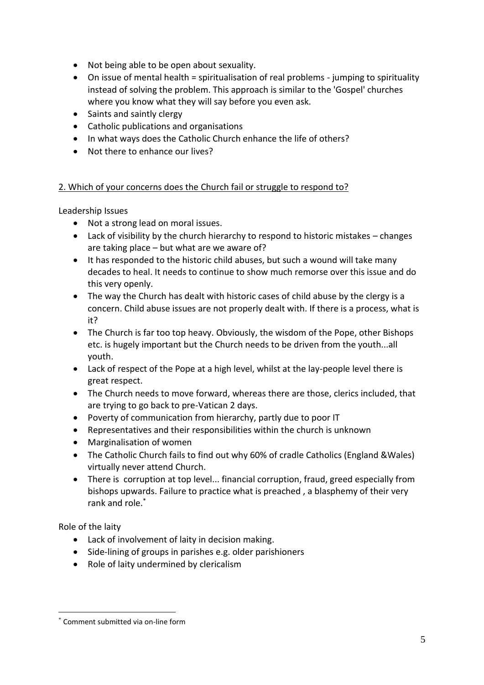- Not being able to be open about sexuality.
- On issue of mental health = spiritualisation of real problems jumping to spirituality instead of solving the problem. This approach is similar to the 'Gospel' churches where you know what they will say before you even ask.
- Saints and saintly clergy
- Catholic publications and organisations
- In what ways does the Catholic Church enhance the life of others?
- Not there to enhance our lives?

### 2. Which of your concerns does the Church fail or struggle to respond to?

Leadership Issues

- Not a strong lead on moral issues.
- Lack of visibility by the church hierarchy to respond to historic mistakes changes are taking place – but what are we aware of?
- It has responded to the historic child abuses, but such a wound will take many decades to heal. It needs to continue to show much remorse over this issue and do this very openly.
- The way the Church has dealt with historic cases of child abuse by the clergy is a concern. Child abuse issues are not properly dealt with. If there is a process, what is it?
- The Church is far too top heavy. Obviously, the wisdom of the Pope, other Bishops etc. is hugely important but the Church needs to be driven from the youth...all youth.
- Lack of respect of the Pope at a high level, whilst at the lay-people level there is great respect.
- The Church needs to move forward, whereas there are those, clerics included, that are trying to go back to pre-Vatican 2 days.
- Poverty of communication from hierarchy, partly due to poor IT
- Representatives and their responsibilities within the church is unknown
- Marginalisation of women
- The Catholic Church fails to find out why 60% of cradle Catholics (England &Wales) virtually never attend Church.
- There is corruption at top level... financial corruption, fraud, greed especially from bishops upwards. Failure to practice what is preached , a blasphemy of their very rank and role.\*

Role of the laity

- Lack of involvement of laity in decision making.
- Side-lining of groups in parishes e.g. older parishioners
- Role of laity undermined by clericalism

Comment submitted via on-line form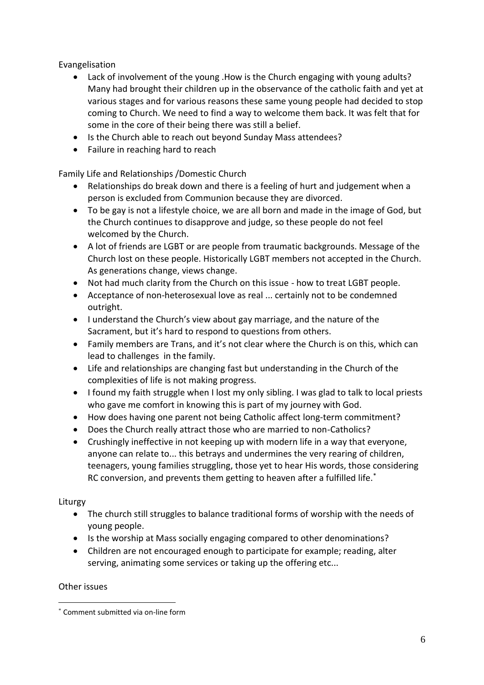Evangelisation

- Lack of involvement of the young .How is the Church engaging with young adults? Many had brought their children up in the observance of the catholic faith and yet at various stages and for various reasons these same young people had decided to stop coming to Church. We need to find a way to welcome them back. It was felt that for some in the core of their being there was still a belief.
- Is the Church able to reach out beyond Sunday Mass attendees?
- Failure in reaching hard to reach

Family Life and Relationships /Domestic Church

- Relationships do break down and there is a feeling of hurt and judgement when a person is excluded from Communion because they are divorced.
- To be gay is not a lifestyle choice, we are all born and made in the image of God, but the Church continues to disapprove and judge, so these people do not feel welcomed by the Church.
- A lot of friends are LGBT or are people from traumatic backgrounds. Message of the Church lost on these people. Historically LGBT members not accepted in the Church. As generations change, views change.
- Not had much clarity from the Church on this issue how to treat LGBT people.
- Acceptance of non-heterosexual love as real ... certainly not to be condemned outright.
- I understand the Church's view about gay marriage, and the nature of the Sacrament, but it's hard to respond to questions from others.
- Family members are Trans, and it's not clear where the Church is on this, which can lead to challenges in the family.
- Life and relationships are changing fast but understanding in the Church of the complexities of life is not making progress.
- I found my faith struggle when I lost my only sibling. I was glad to talk to local priests who gave me comfort in knowing this is part of my journey with God.
- How does having one parent not being Catholic affect long-term commitment?
- Does the Church really attract those who are married to non-Catholics?
- Crushingly ineffective in not keeping up with modern life in a way that everyone, anyone can relate to... this betrays and undermines the very rearing of children, teenagers, young families struggling, those yet to hear His words, those considering RC conversion, and prevents them getting to heaven after a fulfilled life.<sup>\*</sup>

#### Liturgy

- The church still struggles to balance traditional forms of worship with the needs of young people.
- Is the worship at Mass socially engaging compared to other denominations?
- Children are not encouraged enough to participate for example; reading, alter serving, animating some services or taking up the offering etc...

#### Other issues

<sup>\*</sup> Comment submitted via on-line form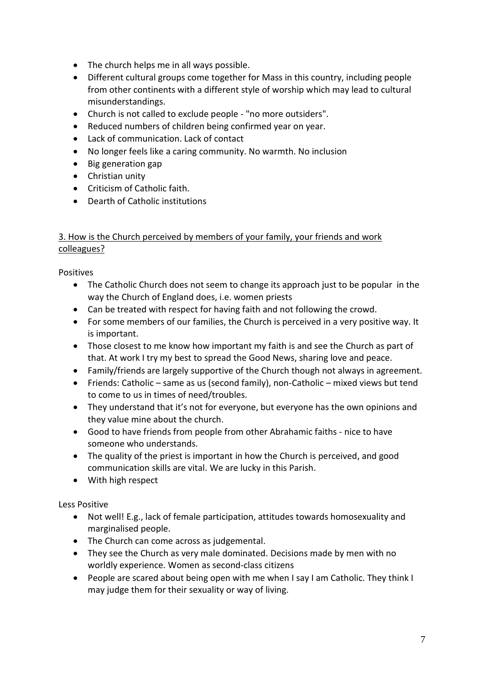- The church helps me in all ways possible.
- Different cultural groups come together for Mass in this country, including people from other continents with a different style of worship which may lead to cultural misunderstandings.
- Church is not called to exclude people "no more outsiders".
- Reduced numbers of children being confirmed year on year.
- Lack of communication. Lack of contact
- No longer feels like a caring community. No warmth. No inclusion
- Big generation gap
- Christian unity
- Criticism of Catholic faith.
- Dearth of Catholic institutions

#### 3. How is the Church perceived by members of your family, your friends and work colleagues?

Positives

- The Catholic Church does not seem to change its approach just to be popular in the way the Church of England does, i.e. women priests
- Can be treated with respect for having faith and not following the crowd.
- For some members of our families, the Church is perceived in a very positive way. It is important.
- Those closest to me know how important my faith is and see the Church as part of that. At work I try my best to spread the Good News, sharing love and peace.
- Family/friends are largely supportive of the Church though not always in agreement.
- Friends: Catholic same as us (second family), non-Catholic mixed views but tend to come to us in times of need/troubles.
- They understand that it's not for everyone, but everyone has the own opinions and they value mine about the church.
- Good to have friends from people from other Abrahamic faiths nice to have someone who understands.
- The quality of the priest is important in how the Church is perceived, and good communication skills are vital. We are lucky in this Parish.
- With high respect

Less Positive

- Not well! E.g., lack of female participation, attitudes towards homosexuality and marginalised people.
- The Church can come across as judgemental.
- They see the Church as very male dominated. Decisions made by men with no worldly experience. Women as second-class citizens
- People are scared about being open with me when I say I am Catholic. They think I may judge them for their sexuality or way of living.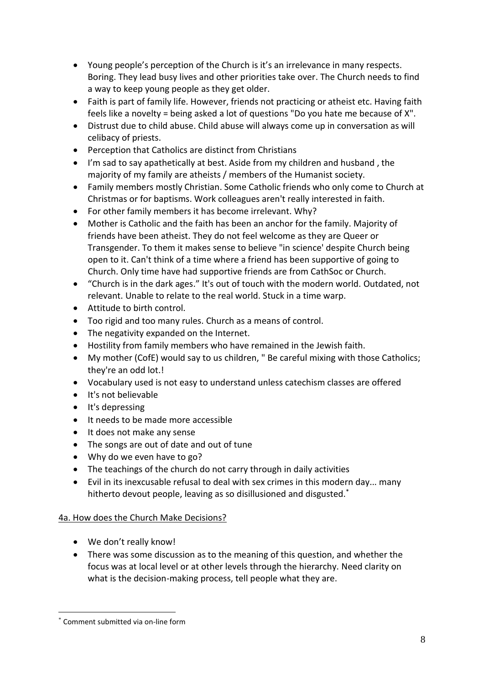- Young people's perception of the Church is it's an irrelevance in many respects. Boring. They lead busy lives and other priorities take over. The Church needs to find a way to keep young people as they get older.
- Faith is part of family life. However, friends not practicing or atheist etc. Having faith feels like a novelty = being asked a lot of questions "Do you hate me because of X".
- Distrust due to child abuse. Child abuse will always come up in conversation as will celibacy of priests.
- Perception that Catholics are distinct from Christians
- I'm sad to say apathetically at best. Aside from my children and husband , the majority of my family are atheists / members of the Humanist society.
- Family members mostly Christian. Some Catholic friends who only come to Church at Christmas or for baptisms. Work colleagues aren't really interested in faith.
- For other family members it has become irrelevant. Why?
- Mother is Catholic and the faith has been an anchor for the family. Majority of friends have been atheist. They do not feel welcome as they are Queer or Transgender. To them it makes sense to believe "in science' despite Church being open to it. Can't think of a time where a friend has been supportive of going to Church. Only time have had supportive friends are from CathSoc or Church.
- "Church is in the dark ages." It's out of touch with the modern world. Outdated, not relevant. Unable to relate to the real world. Stuck in a time warp.
- Attitude to birth control.
- Too rigid and too many rules. Church as a means of control.
- The negativity expanded on the Internet.
- Hostility from family members who have remained in the Jewish faith.
- My mother (CofE) would say to us children, " Be careful mixing with those Catholics; they're an odd lot.!
- Vocabulary used is not easy to understand unless catechism classes are offered
- It's not believable
- It's depressing
- It needs to be made more accessible
- It does not make any sense
- The songs are out of date and out of tune
- Why do we even have to go?
- The teachings of the church do not carry through in daily activities
- Evil in its inexcusable refusal to deal with sex crimes in this modern day... many hitherto devout people, leaving as so disillusioned and disgusted.<sup>\*</sup>

### 4a. How does the Church Make Decisions?

- We don't really know!
- There was some discussion as to the meaning of this question, and whether the focus was at local level or at other levels through the hierarchy. Need clarity on what is the decision-making process, tell people what they are.

Comment submitted via on-line form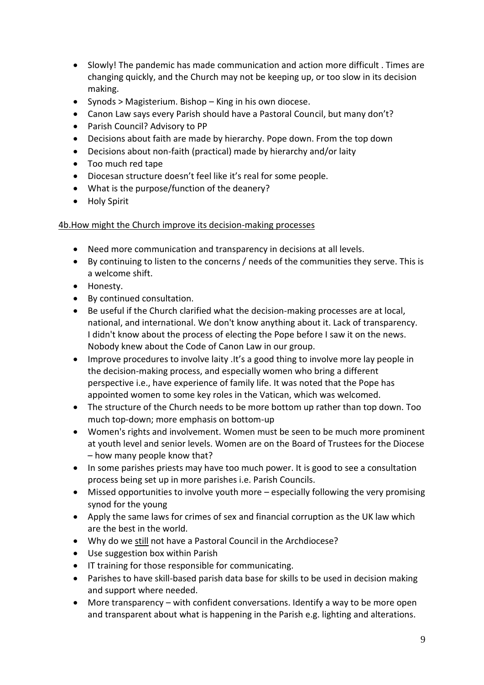- Slowly! The pandemic has made communication and action more difficult . Times are changing quickly, and the Church may not be keeping up, or too slow in its decision making.
- Synods > Magisterium. Bishop King in his own diocese.
- Canon Law says every Parish should have a Pastoral Council, but many don't?
- Parish Council? Advisory to PP
- Decisions about faith are made by hierarchy. Pope down. From the top down
- Decisions about non-faith (practical) made by hierarchy and/or laity
- Too much red tape
- Diocesan structure doesn't feel like it's real for some people.
- What is the purpose/function of the deanery?
- Holy Spirit

### 4b.How might the Church improve its decision-making processes

- Need more communication and transparency in decisions at all levels.
- By continuing to listen to the concerns / needs of the communities they serve. This is a welcome shift.
- Honesty.
- By continued consultation.
- Be useful if the Church clarified what the decision-making processes are at local, national, and international. We don't know anything about it. Lack of transparency. I didn't know about the process of electing the Pope before I saw it on the news. Nobody knew about the Code of Canon Law in our group.
- Improve procedures to involve laity .It's a good thing to involve more lay people in the decision-making process, and especially women who bring a different perspective i.e., have experience of family life. It was noted that the Pope has appointed women to some key roles in the Vatican, which was welcomed.
- The structure of the Church needs to be more bottom up rather than top down. Too much top-down; more emphasis on bottom-up
- Women's rights and involvement. Women must be seen to be much more prominent at youth level and senior levels. Women are on the Board of Trustees for the Diocese – how many people know that?
- In some parishes priests may have too much power. It is good to see a consultation process being set up in more parishes i.e. Parish Councils.
- Missed opportunities to involve youth more especially following the very promising synod for the young
- Apply the same laws for crimes of sex and financial corruption as the UK law which are the best in the world.
- Why do we still not have a Pastoral Council in the Archdiocese?
- Use suggestion box within Parish
- IT training for those responsible for communicating.
- Parishes to have skill-based parish data base for skills to be used in decision making and support where needed.
- More transparency with confident conversations. Identify a way to be more open and transparent about what is happening in the Parish e.g. lighting and alterations.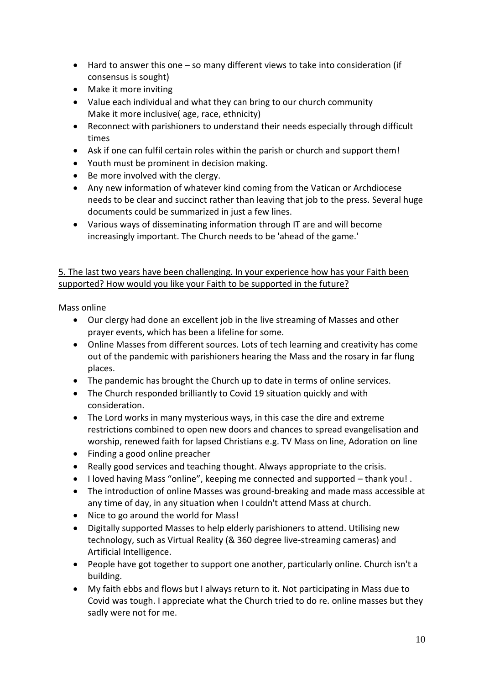- Hard to answer this one so many different views to take into consideration (if consensus is sought)
- Make it more inviting
- Value each individual and what they can bring to our church community Make it more inclusive( age, race, ethnicity)
- Reconnect with parishioners to understand their needs especially through difficult times
- Ask if one can fulfil certain roles within the parish or church and support them!
- Youth must be prominent in decision making.
- Be more involved with the clergy.
- Any new information of whatever kind coming from the Vatican or Archdiocese needs to be clear and succinct rather than leaving that job to the press. Several huge documents could be summarized in just a few lines.
- Various ways of disseminating information through IT are and will become increasingly important. The Church needs to be 'ahead of the game.'

5. The last two years have been challenging. In your experience how has your Faith been supported? How would you like your Faith to be supported in the future?

Mass online

- Our clergy had done an excellent job in the live streaming of Masses and other prayer events, which has been a lifeline for some.
- Online Masses from different sources. Lots of tech learning and creativity has come out of the pandemic with parishioners hearing the Mass and the rosary in far flung places.
- The pandemic has brought the Church up to date in terms of online services.
- The Church responded brilliantly to Covid 19 situation quickly and with consideration.
- The Lord works in many mysterious ways, in this case the dire and extreme restrictions combined to open new doors and chances to spread evangelisation and worship, renewed faith for lapsed Christians e.g. TV Mass on line, Adoration on line
- Finding a good online preacher
- Really good services and teaching thought. Always appropriate to the crisis.
- I loved having Mass "online", keeping me connected and supported thank you! .
- The introduction of online Masses was ground-breaking and made mass accessible at any time of day, in any situation when I couldn't attend Mass at church.
- Nice to go around the world for Mass!
- Digitally supported Masses to help elderly parishioners to attend. Utilising new technology, such as Virtual Reality (& 360 degree live-streaming cameras) and Artificial Intelligence.
- People have got together to support one another, particularly online. Church isn't a building.
- My faith ebbs and flows but I always return to it. Not participating in Mass due to Covid was tough. I appreciate what the Church tried to do re. online masses but they sadly were not for me.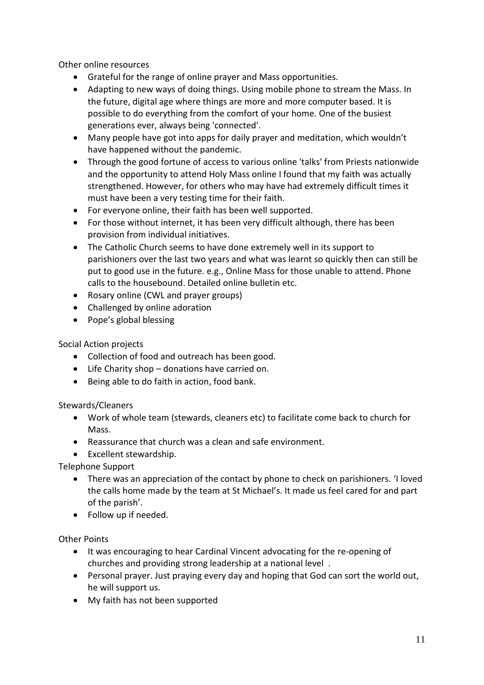Other online resources

- Grateful for the range of online prayer and Mass opportunities.
- Adapting to new ways of doing things. Using mobile phone to stream the Mass. In the future, digital age where things are more and more computer based. It is possible to do everything from the comfort of your home. One of the busiest generations ever, always being 'connected'.
- Many people have got into apps for daily prayer and meditation, which wouldn't have happened without the pandemic.
- Through the good fortune of access to various online 'talks' from Priests nationwide and the opportunity to attend Holy Mass online I found that my faith was actually strengthened. However, for others who may have had extremely difficult times it must have been a very testing time for their faith.
- For everyone online, their faith has been well supported.
- For those without internet, it has been very difficult although, there has been provision from individual initiatives.
- The Catholic Church seems to have done extremely well in its support to parishioners over the last two years and what was learnt so quickly then can still be put to good use in the future. e.g., Online Mass for those unable to attend. Phone calls to the housebound. Detailed online bulletin etc.
- Rosary online (CWL and prayer groups)
- Challenged by online adoration
- Pope's global blessing

### Social Action projects

- Collection of food and outreach has been good.
- Life Charity shop donations have carried on.
- Being able to do faith in action, food bank.

### Stewards/Cleaners

- Work of whole team (stewards, cleaners etc) to facilitate come back to church for Mass.
- Reassurance that church was a clean and safe environment.
- Excellent stewardship.

Telephone Support

- There was an appreciation of the contact by phone to check on parishioners. 'I loved the calls home made by the team at St Michael's. It made us feel cared for and part of the parish'.
- Follow up if needed.

### Other Points

- It was encouraging to hear Cardinal Vincent advocating for the re-opening of churches and providing strong leadership at a national level .
- Personal prayer. Just praying every day and hoping that God can sort the world out, he will support us.
- My faith has not been supported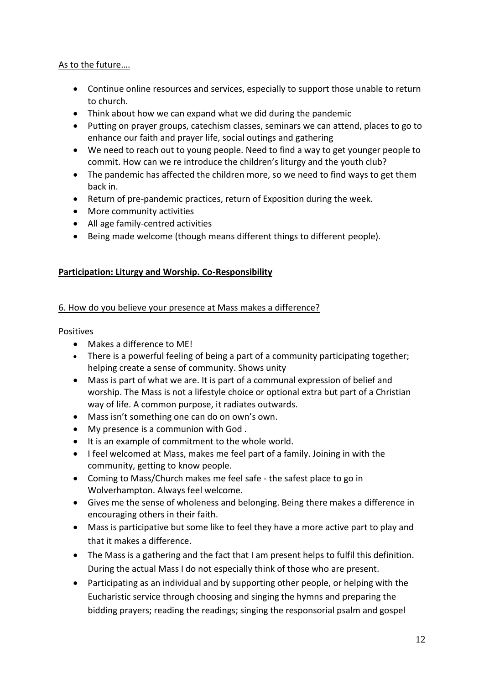### As to the future….

- Continue online resources and services, especially to support those unable to return to church.
- Think about how we can expand what we did during the pandemic
- Putting on prayer groups, catechism classes, seminars we can attend, places to go to enhance our faith and prayer life, social outings and gathering
- We need to reach out to young people. Need to find a way to get younger people to commit. How can we re introduce the children's liturgy and the youth club?
- The pandemic has affected the children more, so we need to find ways to get them back in.
- Return of pre-pandemic practices, return of Exposition during the week.
- More community activities
- All age family-centred activities
- Being made welcome (though means different things to different people).

#### **Participation: Liturgy and Worship. Co-Responsibility**

#### 6. How do you believe your presence at Mass makes a difference?

**Positives** 

- Makes a difference to ME!
- There is a powerful feeling of being a part of a community participating together; helping create a sense of community. Shows unity
- Mass is part of what we are. It is part of a communal expression of belief and worship. The Mass is not a lifestyle choice or optional extra but part of a Christian way of life. A common purpose, it radiates outwards.
- Mass isn't something one can do on own's own.
- My presence is a communion with God .
- It is an example of commitment to the whole world.
- I feel welcomed at Mass, makes me feel part of a family. Joining in with the community, getting to know people.
- Coming to Mass/Church makes me feel safe the safest place to go in Wolverhampton. Always feel welcome.
- Gives me the sense of wholeness and belonging. Being there makes a difference in encouraging others in their faith.
- Mass is participative but some like to feel they have a more active part to play and that it makes a difference.
- The Mass is a gathering and the fact that I am present helps to fulfil this definition. During the actual Mass I do not especially think of those who are present.
- Participating as an individual and by supporting other people, or helping with the Eucharistic service through choosing and singing the hymns and preparing the bidding prayers; reading the readings; singing the responsorial psalm and gospel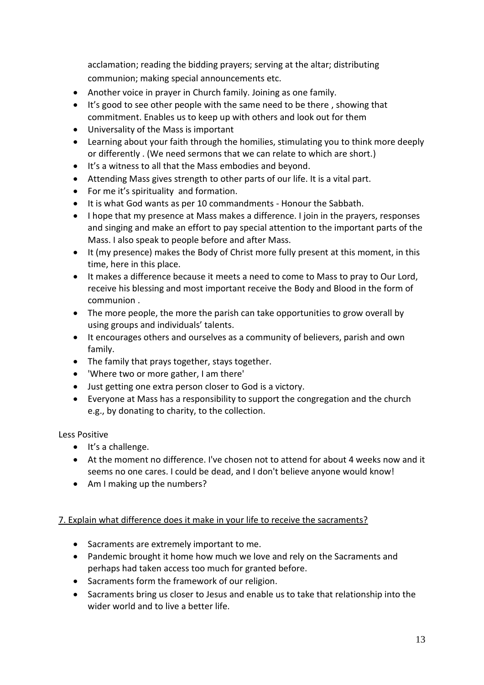acclamation; reading the bidding prayers; serving at the altar; distributing communion; making special announcements etc.

- Another voice in prayer in Church family. Joining as one family.
- It's good to see other people with the same need to be there , showing that commitment. Enables us to keep up with others and look out for them
- Universality of the Mass is important
- Learning about your faith through the homilies, stimulating you to think more deeply or differently . (We need sermons that we can relate to which are short.)
- It's a witness to all that the Mass embodies and beyond.
- Attending Mass gives strength to other parts of our life. It is a vital part.
- For me it's spirituality and formation.
- It is what God wants as per 10 commandments Honour the Sabbath.
- I hope that my presence at Mass makes a difference. I join in the prayers, responses and singing and make an effort to pay special attention to the important parts of the Mass. I also speak to people before and after Mass.
- It (my presence) makes the Body of Christ more fully present at this moment, in this time, here in this place.
- It makes a difference because it meets a need to come to Mass to pray to Our Lord, receive his blessing and most important receive the Body and Blood in the form of communion .
- The more people, the more the parish can take opportunities to grow overall by using groups and individuals' talents.
- It encourages others and ourselves as a community of believers, parish and own family.
- The family that prays together, stays together.
- 'Where two or more gather, I am there'
- Just getting one extra person closer to God is a victory.
- Everyone at Mass has a responsibility to support the congregation and the church e.g., by donating to charity, to the collection.

Less Positive

- It's a challenge.
- At the moment no difference. I've chosen not to attend for about 4 weeks now and it seems no one cares. I could be dead, and I don't believe anyone would know!
- Am I making up the numbers?

#### 7. Explain what difference does it make in your life to receive the sacraments?

- Sacraments are extremely important to me.
- Pandemic brought it home how much we love and rely on the Sacraments and perhaps had taken access too much for granted before.
- Sacraments form the framework of our religion.
- Sacraments bring us closer to Jesus and enable us to take that relationship into the wider world and to live a better life.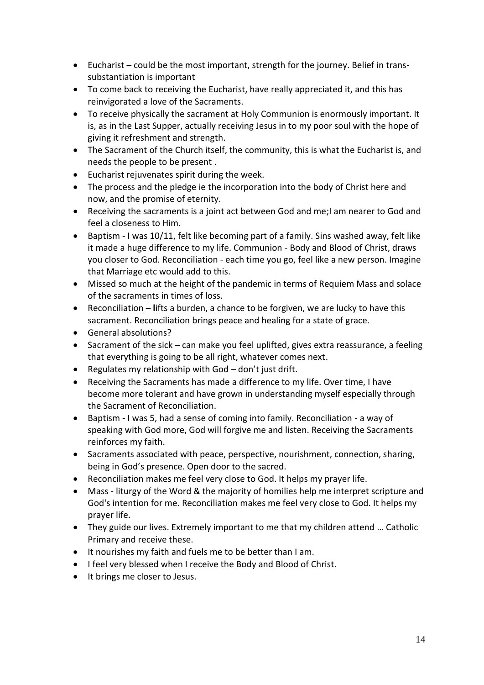- Eucharist **–** could be the most important, strength for the journey. Belief in transsubstantiation is important
- To come back to receiving the Eucharist, have really appreciated it, and this has reinvigorated a love of the Sacraments.
- To receive physically the sacrament at Holy Communion is enormously important. It is, as in the Last Supper, actually receiving Jesus in to my poor soul with the hope of giving it refreshment and strength.
- The Sacrament of the Church itself, the community, this is what the Eucharist is, and needs the people to be present .
- Eucharist rejuvenates spirit during the week.
- The process and the pledge ie the incorporation into the body of Christ here and now, and the promise of eternity.
- Receiving the sacraments is a joint act between God and me;I am nearer to God and feel a closeness to Him.
- Baptism I was 10/11, felt like becoming part of a family. Sins washed away, felt like it made a huge difference to my life. Communion - Body and Blood of Christ, draws you closer to God. Reconciliation - each time you go, feel like a new person. Imagine that Marriage etc would add to this.
- Missed so much at the height of the pandemic in terms of Requiem Mass and solace of the sacraments in times of loss.
- Reconciliation **– l**ifts a burden, a chance to be forgiven, we are lucky to have this sacrament. Reconciliation brings peace and healing for a state of grace.
- General absolutions?
- Sacrament of the sick **–** can make you feel uplifted, gives extra reassurance, a feeling that everything is going to be all right, whatever comes next.
- Regulates my relationship with God don't just drift.
- Receiving the Sacraments has made a difference to my life. Over time, I have become more tolerant and have grown in understanding myself especially through the Sacrament of Reconciliation.
- Baptism I was 5, had a sense of coming into family. Reconciliation a way of speaking with God more, God will forgive me and listen. Receiving the Sacraments reinforces my faith.
- Sacraments associated with peace, perspective, nourishment, connection, sharing, being in God's presence. Open door to the sacred.
- Reconciliation makes me feel very close to God. It helps my prayer life.
- Mass liturgy of the Word & the majority of homilies help me interpret scripture and God's intention for me. Reconciliation makes me feel very close to God. It helps my prayer life.
- They guide our lives. Extremely important to me that my children attend … Catholic Primary and receive these.
- It nourishes my faith and fuels me to be better than I am.
- I feel very blessed when I receive the Body and Blood of Christ.
- It brings me closer to Jesus.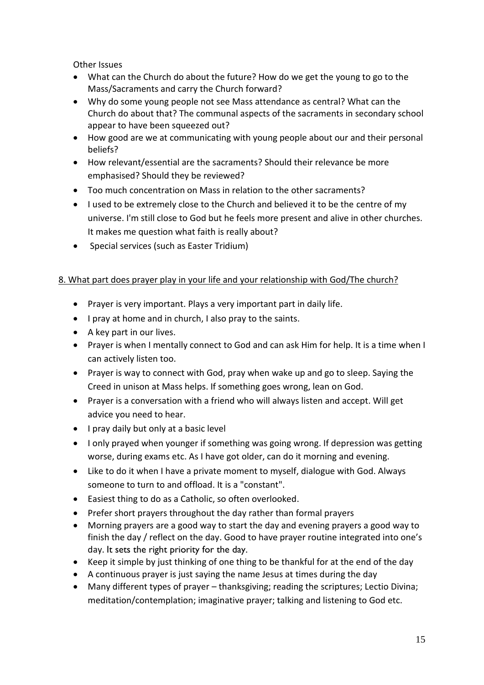Other Issues

- What can the Church do about the future? How do we get the young to go to the Mass/Sacraments and carry the Church forward?
- Why do some young people not see Mass attendance as central? What can the Church do about that? The communal aspects of the sacraments in secondary school appear to have been squeezed out?
- How good are we at communicating with young people about our and their personal beliefs?
- How relevant/essential are the sacraments? Should their relevance be more emphasised? Should they be reviewed?
- Too much concentration on Mass in relation to the other sacraments?
- I used to be extremely close to the Church and believed it to be the centre of my universe. I'm still close to God but he feels more present and alive in other churches. It makes me question what faith is really about?
- Special services (such as Easter Tridium)

### 8. What part does prayer play in your life and your relationship with God/The church?

- Prayer is very important. Plays a very important part in daily life.
- I pray at home and in church, I also pray to the saints.
- A key part in our lives.
- Prayer is when I mentally connect to God and can ask Him for help. It is a time when I can actively listen too.
- Prayer is way to connect with God, pray when wake up and go to sleep. Saying the Creed in unison at Mass helps. If something goes wrong, lean on God.
- Prayer is a conversation with a friend who will always listen and accept. Will get advice you need to hear.
- I pray daily but only at a basic level
- I only prayed when younger if something was going wrong. If depression was getting worse, during exams etc. As I have got older, can do it morning and evening.
- Like to do it when I have a private moment to myself, dialogue with God. Always someone to turn to and offload. It is a "constant".
- Easiest thing to do as a Catholic, so often overlooked.
- Prefer short prayers throughout the day rather than formal prayers
- Morning prayers are a good way to start the day and evening prayers a good way to finish the day / reflect on the day. Good to have prayer routine integrated into one's day. It sets the right priority for the day.
- Keep it simple by just thinking of one thing to be thankful for at the end of the day
- A continuous prayer is just saying the name Jesus at times during the day
- Many different types of prayer thanksgiving; reading the scriptures; Lectio Divina; meditation/contemplation; imaginative prayer; talking and listening to God etc.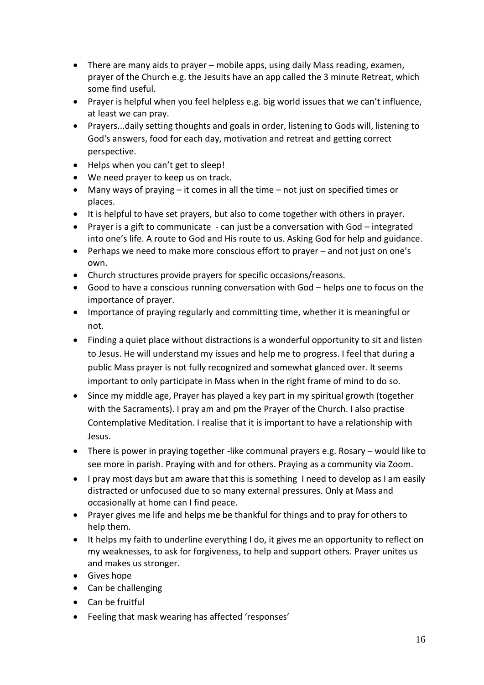- There are many aids to prayer mobile apps, using daily Mass reading, examen, prayer of the Church e.g. the Jesuits have an app called the 3 minute Retreat, which some find useful.
- Prayer is helpful when you feel helpless e.g. big world issues that we can't influence, at least we can pray.
- Prayers...daily setting thoughts and goals in order, listening to Gods will, listening to God's answers, food for each day, motivation and retreat and getting correct perspective.
- Helps when you can't get to sleep!
- We need prayer to keep us on track.
- Many ways of praying it comes in all the time not just on specified times or places.
- It is helpful to have set prayers, but also to come together with others in prayer.
- Prayer is a gift to communicate can just be a conversation with God integrated into one's life. A route to God and His route to us. Asking God for help and guidance.
- Perhaps we need to make more conscious effort to prayer and not just on one's own.
- Church structures provide prayers for specific occasions/reasons.
- Good to have a conscious running conversation with God helps one to focus on the importance of prayer.
- Importance of praying regularly and committing time, whether it is meaningful or not.
- Finding a quiet place without distractions is a wonderful opportunity to sit and listen to Jesus. He will understand my issues and help me to progress. I feel that during a public Mass prayer is not fully recognized and somewhat glanced over. It seems important to only participate in Mass when in the right frame of mind to do so.
- Since my middle age, Prayer has played a key part in my spiritual growth (together with the Sacraments). I pray am and pm the Prayer of the Church. I also practise Contemplative Meditation. I realise that it is important to have a relationship with Jesus.
- There is power in praying together -like communal prayers e.g. Rosary would like to see more in parish. Praying with and for others. Praying as a community via Zoom.
- I pray most days but am aware that this is something I need to develop as I am easily distracted or unfocused due to so many external pressures. Only at Mass and occasionally at home can I find peace.
- Prayer gives me life and helps me be thankful for things and to pray for others to help them.
- It helps my faith to underline everything I do, it gives me an opportunity to reflect on my weaknesses, to ask for forgiveness, to help and support others. Prayer unites us and makes us stronger.
- Gives hope
- Can be challenging
- Can be fruitful
- Feeling that mask wearing has affected 'responses'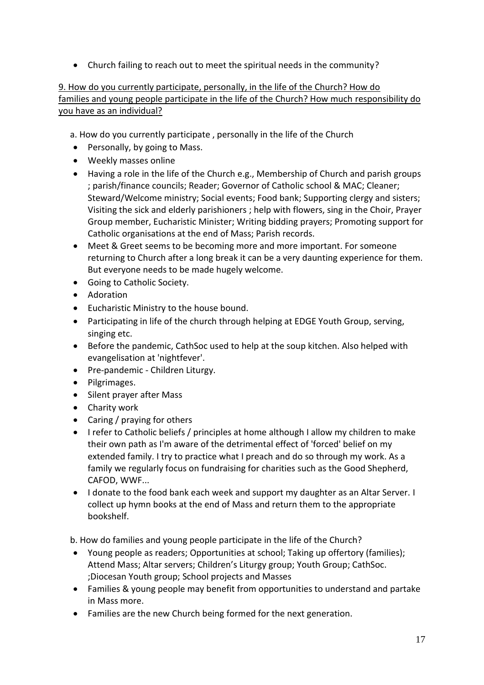• Church failing to reach out to meet the spiritual needs in the community?

#### 9. How do you currently participate, personally, in the life of the Church? How do families and young people participate in the life of the Church? How much responsibility do you have as an individual?

- a. How do you currently participate , personally in the life of the Church
- Personally, by going to Mass.
- Weekly masses online
- Having a role in the life of the Church e.g., Membership of Church and parish groups ; parish/finance councils; Reader; Governor of Catholic school & MAC; Cleaner; Steward/Welcome ministry; Social events; Food bank; Supporting clergy and sisters; Visiting the sick and elderly parishioners ; help with flowers, sing in the Choir, Prayer Group member, Eucharistic Minister; Writing bidding prayers; Promoting support for Catholic organisations at the end of Mass; Parish records.
- Meet & Greet seems to be becoming more and more important. For someone returning to Church after a long break it can be a very daunting experience for them. But everyone needs to be made hugely welcome.
- Going to Catholic Society.
- Adoration
- Eucharistic Ministry to the house bound.
- Participating in life of the church through helping at EDGE Youth Group, serving, singing etc.
- Before the pandemic, CathSoc used to help at the soup kitchen. Also helped with evangelisation at 'nightfever'.
- Pre-pandemic Children Liturgy.
- Pilgrimages.
- Silent prayer after Mass
- Charity work
- Caring / praying for others
- I refer to Catholic beliefs / principles at home although I allow my children to make their own path as I'm aware of the detrimental effect of 'forced' belief on my extended family. I try to practice what I preach and do so through my work. As a family we regularly focus on fundraising for charities such as the Good Shepherd, CAFOD, WWF...
- I donate to the food bank each week and support my daughter as an Altar Server. I collect up hymn books at the end of Mass and return them to the appropriate bookshelf.

b. How do families and young people participate in the life of the Church?

- Young people as readers; Opportunities at school; Taking up offertory (families); Attend Mass; Altar servers; Children's Liturgy group; Youth Group; CathSoc. ;Diocesan Youth group; School projects and Masses
- Families & young people may benefit from opportunities to understand and partake in Mass more.
- Families are the new Church being formed for the next generation.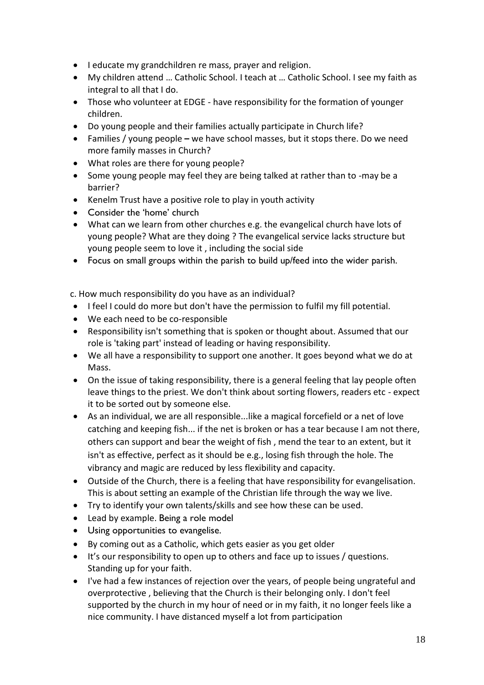- I educate my grandchildren re mass, prayer and religion.
- My children attend … Catholic School. I teach at … Catholic School. I see my faith as integral to all that I do.
- Those who volunteer at EDGE have responsibility for the formation of younger children.
- Do young people and their families actually participate in Church life?
- Families / young people **–** we have school masses, but it stops there. Do we need more family masses in Church?
- What roles are there for young people?
- Some young people may feel they are being talked at rather than to -may be a barrier?
- Kenelm Trust have a positive role to play in youth activity
- Consider the 'home' church
- What can we learn from other churches e.g. the evangelical church have lots of young people? What are they doing ? The evangelical service lacks structure but young people seem to love it , including the social side
- Focus on small groups within the parish to build up/feed into the wider parish.

c. How much responsibility do you have as an individual?

- I feel I could do more but don't have the permission to fulfil my fill potential.
- We each need to be co-responsible
- Responsibility isn't something that is spoken or thought about. Assumed that our role is 'taking part' instead of leading or having responsibility.
- We all have a responsibility to support one another. It goes beyond what we do at Mass.
- On the issue of taking responsibility, there is a general feeling that lay people often leave things to the priest. We don't think about sorting flowers, readers etc - expect it to be sorted out by someone else.
- As an individual, we are all responsible...like a magical forcefield or a net of love catching and keeping fish... if the net is broken or has a tear because I am not there, others can support and bear the weight of fish , mend the tear to an extent, but it isn't as effective, perfect as it should be e.g., losing fish through the hole. The vibrancy and magic are reduced by less flexibility and capacity.
- Outside of the Church, there is a feeling that have responsibility for evangelisation. This is about setting an example of the Christian life through the way we live.
- Try to identify your own talents/skills and see how these can be used.
- Lead by example. Being a role model
- Using opportunities to evangelise.
- By coming out as a Catholic, which gets easier as you get older
- It's our responsibility to open up to others and face up to issues / questions. Standing up for your faith.
- I've had a few instances of rejection over the years, of people being ungrateful and overprotective , believing that the Church is their belonging only. I don't feel supported by the church in my hour of need or in my faith, it no longer feels like a nice community. I have distanced myself a lot from participation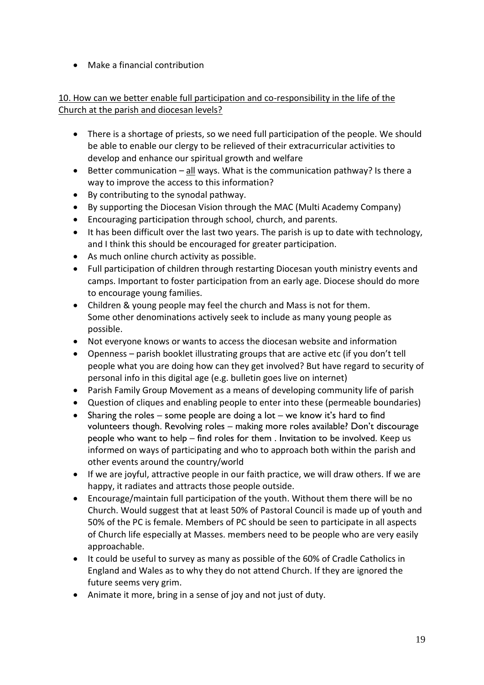• Make a financial contribution

### 10. How can we better enable full participation and co-responsibility in the life of the Church at the parish and diocesan levels?

- There is a shortage of priests, so we need full participation of the people. We should be able to enable our clergy to be relieved of their extracurricular activities to develop and enhance our spiritual growth and welfare
- Better communication all ways. What is the communication pathway? Is there a way to improve the access to this information?
- By contributing to the synodal pathway.
- By supporting the Diocesan Vision through the MAC (Multi Academy Company)
- Encouraging participation through school, church, and parents.
- It has been difficult over the last two years. The parish is up to date with technology, and I think this should be encouraged for greater participation.
- As much online church activity as possible.
- Full participation of children through restarting Diocesan youth ministry events and camps. Important to foster participation from an early age. Diocese should do more to encourage young families.
- Children & young people may feel the church and Mass is not for them. Some other denominations actively seek to include as many young people as possible.
- Not everyone knows or wants to access the diocesan website and information
- Openness parish booklet illustrating groups that are active etc (if you don't tell people what you are doing how can they get involved? But have regard to security of personal info in this digital age (e.g. bulletin goes live on internet)
- Parish Family Group Movement as a means of developing community life of parish
- Question of cliques and enabling people to enter into these (permeable boundaries)
- Sharing the roles some people are doing a lot we know it's hard to find volunteers though. Revolving roles – making more roles available? Don't discourage people who want to help – find roles for them . Invitation to be involved. Keep us informed on ways of participating and who to approach both within the parish and other events around the country/world
- If we are joyful, attractive people in our faith practice, we will draw others. If we are happy, it radiates and attracts those people outside.
- Encourage/maintain full participation of the youth. Without them there will be no Church. Would suggest that at least 50% of Pastoral Council is made up of youth and 50% of the PC is female. Members of PC should be seen to participate in all aspects of Church life especially at Masses. members need to be people who are very easily approachable.
- It could be useful to survey as many as possible of the 60% of Cradle Catholics in England and Wales as to why they do not attend Church. If they are ignored the future seems very grim.
- Animate it more, bring in a sense of joy and not just of duty.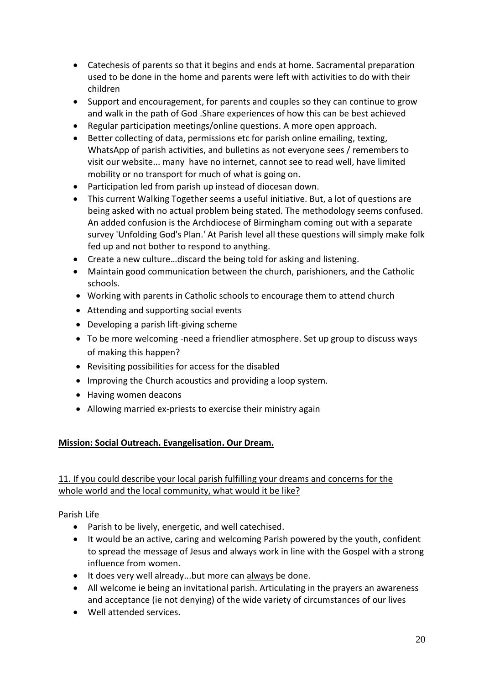- Catechesis of parents so that it begins and ends at home. Sacramental preparation used to be done in the home and parents were left with activities to do with their children
- Support and encouragement, for parents and couples so they can continue to grow and walk in the path of God .Share experiences of how this can be best achieved
- Regular participation meetings/online questions. A more open approach.
- Better collecting of data, permissions etc for parish online emailing, texting, WhatsApp of parish activities, and bulletins as not everyone sees / remembers to visit our website... many have no internet, cannot see to read well, have limited mobility or no transport for much of what is going on.
- Participation led from parish up instead of diocesan down.
- This current Walking Together seems a useful initiative. But, a lot of questions are being asked with no actual problem being stated. The methodology seems confused. An added confusion is the Archdiocese of Birmingham coming out with a separate survey 'Unfolding God's Plan.' At Parish level all these questions will simply make folk fed up and not bother to respond to anything.
- Create a new culture…discard the being told for asking and listening.
- Maintain good communication between the church, parishioners, and the Catholic schools.
- Working with parents in Catholic schools to encourage them to attend church
- Attending and supporting social events
- Developing a parish lift-giving scheme
- To be more welcoming -need a friendlier atmosphere. Set up group to discuss ways of making this happen?
- Revisiting possibilities for access for the disabled
- Improving the Church acoustics and providing a loop system.
- Having women deacons
- Allowing married ex-priests to exercise their ministry again

### **Mission: Social Outreach. Evangelisation. Our Dream.**

### 11. If you could describe your local parish fulfilling your dreams and concerns for the whole world and the local community, what would it be like?

Parish Life

- Parish to be lively, energetic, and well catechised.
- It would be an active, caring and welcoming Parish powered by the youth, confident to spread the message of Jesus and always work in line with the Gospel with a strong influence from women.
- It does very well already...but more can always be done.
- All welcome ie being an invitational parish. Articulating in the prayers an awareness and acceptance (ie not denying) of the wide variety of circumstances of our lives
- Well attended services.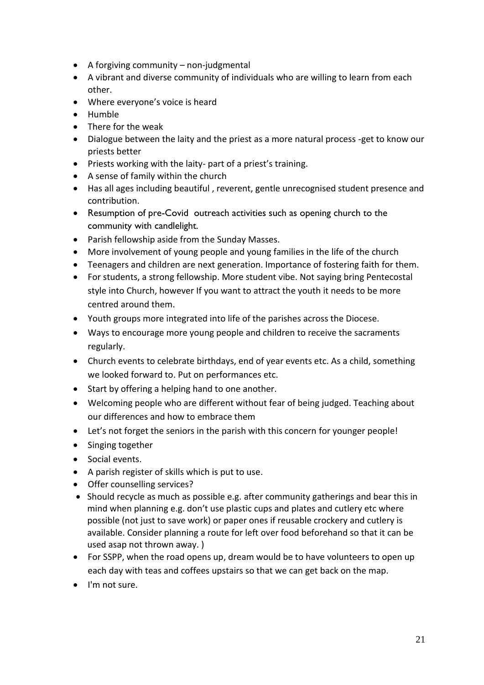- A forgiving community non-judgmental
- A vibrant and diverse community of individuals who are willing to learn from each other.
- Where everyone's voice is heard
- Humble
- There for the weak
- Dialogue between the laity and the priest as a more natural process -get to know our priests better
- Priests working with the laity- part of a priest's training.
- A sense of family within the church
- Has all ages including beautiful , reverent, gentle unrecognised student presence and contribution.
- Resumption of pre-Covid outreach activities such as opening church to the community with candlelight.
- Parish fellowship aside from the Sunday Masses.
- More involvement of young people and young families in the life of the church
- Teenagers and children are next generation. Importance of fostering faith for them.
- For students, a strong fellowship. More student vibe. Not saying bring Pentecostal style into Church, however If you want to attract the youth it needs to be more centred around them.
- Youth groups more integrated into life of the parishes across the Diocese.
- Ways to encourage more young people and children to receive the sacraments regularly.
- Church events to celebrate birthdays, end of year events etc. As a child, something we looked forward to. Put on performances etc.
- Start by offering a helping hand to one another.
- Welcoming people who are different without fear of being judged. Teaching about our differences and how to embrace them
- Let's not forget the seniors in the parish with this concern for younger people!
- Singing together
- Social events.
- A parish register of skills which is put to use.
- Offer counselling services?
- Should recycle as much as possible e.g. after community gatherings and bear this in mind when planning e.g. don't use plastic cups and plates and cutlery etc where possible (not just to save work) or paper ones if reusable crockery and cutlery is available. Consider planning a route for left over food beforehand so that it can be used asap not thrown away. )
- For SSPP, when the road opens up, dream would be to have volunteers to open up each day with teas and coffees upstairs so that we can get back on the map.
- I'm not sure.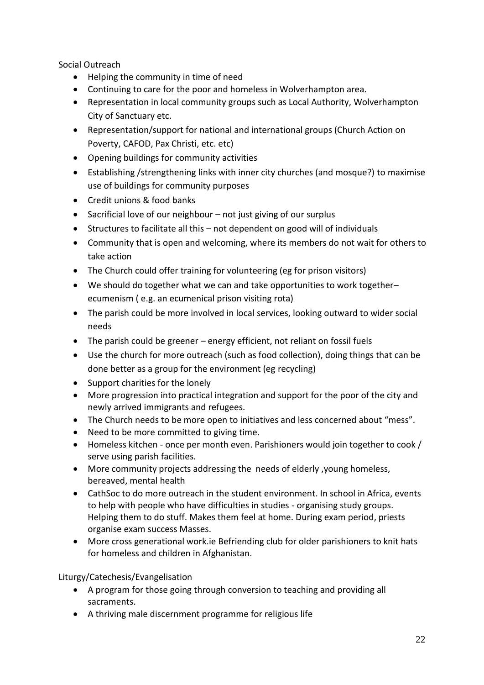Social Outreach

- Helping the community in time of need
- Continuing to care for the poor and homeless in Wolverhampton area.
- Representation in local community groups such as Local Authority, Wolverhampton City of Sanctuary etc.
- Representation/support for national and international groups (Church Action on Poverty, CAFOD, Pax Christi, etc. etc)
- Opening buildings for community activities
- Establishing /strengthening links with inner city churches (and mosque?) to maximise use of buildings for community purposes
- Credit unions & food banks
- Sacrificial love of our neighbour not just giving of our surplus
- Structures to facilitate all this not dependent on good will of individuals
- Community that is open and welcoming, where its members do not wait for others to take action
- The Church could offer training for volunteering (eg for prison visitors)
- We should do together what we can and take opportunities to work together– ecumenism ( e.g. an ecumenical prison visiting rota)
- The parish could be more involved in local services, looking outward to wider social needs
- The parish could be greener energy efficient, not reliant on fossil fuels
- Use the church for more outreach (such as food collection), doing things that can be done better as a group for the environment (eg recycling)
- Support charities for the lonely
- More progression into practical integration and support for the poor of the city and newly arrived immigrants and refugees.
- The Church needs to be more open to initiatives and less concerned about "mess".
- Need to be more committed to giving time.
- Homeless kitchen once per month even. Parishioners would join together to cook / serve using parish facilities.
- More community projects addressing the needs of elderly ,young homeless, bereaved, mental health
- CathSoc to do more outreach in the student environment. In school in Africa, events to help with people who have difficulties in studies - organising study groups. Helping them to do stuff. Makes them feel at home. During exam period, priests organise exam success Masses.
- More cross generational work.ie Befriending club for older parishioners to knit hats for homeless and children in Afghanistan.

### Liturgy/Catechesis/Evangelisation

- A program for those going through conversion to teaching and providing all sacraments.
- A thriving male discernment programme for religious life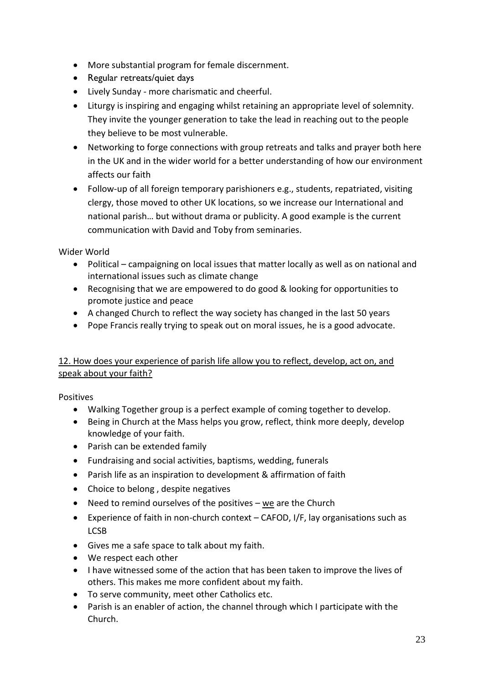- More substantial program for female discernment.
- Regular retreats/quiet days
- Lively Sunday more charismatic and cheerful.
- Liturgy is inspiring and engaging whilst retaining an appropriate level of solemnity. They invite the younger generation to take the lead in reaching out to the people they believe to be most vulnerable.
- Networking to forge connections with group retreats and talks and prayer both here in the UK and in the wider world for a better understanding of how our environment affects our faith
- Follow-up of all foreign temporary parishioners e.g., students, repatriated, visiting clergy, those moved to other UK locations, so we increase our International and national parish… but without drama or publicity. A good example is the current communication with David and Toby from seminaries.

Wider World

- Political campaigning on local issues that matter locally as well as on national and international issues such as climate change
- Recognising that we are empowered to do good & looking for opportunities to promote justice and peace
- A changed Church to reflect the way society has changed in the last 50 years
- Pope Francis really trying to speak out on moral issues, he is a good advocate.

### 12. How does your experience of parish life allow you to reflect, develop, act on, and speak about your faith?

Positives

- Walking Together group is a perfect example of coming together to develop.
- Being in Church at the Mass helps you grow, reflect, think more deeply, develop knowledge of your faith.
- Parish can be extended family
- Fundraising and social activities, baptisms, wedding, funerals
- Parish life as an inspiration to development & affirmation of faith
- Choice to belong , despite negatives
- Need to remind ourselves of the positives we are the Church
- Experience of faith in non-church context CAFOD, I/F, lay organisations such as LCSB
- Gives me a safe space to talk about my faith.
- We respect each other
- I have witnessed some of the action that has been taken to improve the lives of others. This makes me more confident about my faith.
- To serve community, meet other Catholics etc.
- Parish is an enabler of action, the channel through which I participate with the Church.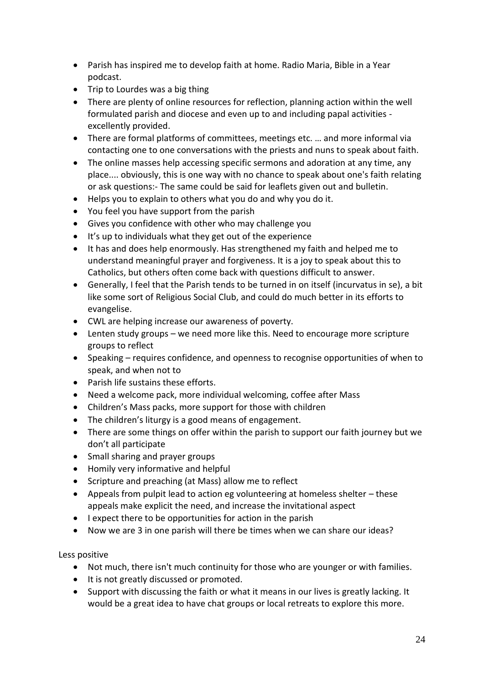- Parish has inspired me to develop faith at home. Radio Maria, Bible in a Year podcast.
- Trip to Lourdes was a big thing
- There are plenty of online resources for reflection, planning action within the well formulated parish and diocese and even up to and including papal activities excellently provided.
- There are formal platforms of committees, meetings etc. … and more informal via contacting one to one conversations with the priests and nuns to speak about faith.
- The online masses help accessing specific sermons and adoration at any time, any place.... obviously, this is one way with no chance to speak about one's faith relating or ask questions:- The same could be said for leaflets given out and bulletin.
- Helps you to explain to others what you do and why you do it.
- You feel you have support from the parish
- Gives you confidence with other who may challenge you
- It's up to individuals what they get out of the experience
- It has and does help enormously. Has strengthened my faith and helped me to understand meaningful prayer and forgiveness. It is a joy to speak about this to Catholics, but others often come back with questions difficult to answer.
- Generally, I feel that the Parish tends to be turned in on itself (incurvatus in se), a bit like some sort of Religious Social Club, and could do much better in its efforts to evangelise.
- CWL are helping increase our awareness of poverty.
- Lenten study groups we need more like this. Need to encourage more scripture groups to reflect
- Speaking requires confidence, and openness to recognise opportunities of when to speak, and when not to
- Parish life sustains these efforts.
- Need a welcome pack, more individual welcoming, coffee after Mass
- Children's Mass packs, more support for those with children
- The children's liturgy is a good means of engagement.
- There are some things on offer within the parish to support our faith journey but we don't all participate
- Small sharing and prayer groups
- Homily very informative and helpful
- Scripture and preaching (at Mass) allow me to reflect
- Appeals from pulpit lead to action eg volunteering at homeless shelter these appeals make explicit the need, and increase the invitational aspect
- I expect there to be opportunities for action in the parish
- Now we are 3 in one parish will there be times when we can share our ideas?

### Less positive

- Not much, there isn't much continuity for those who are younger or with families.
- It is not greatly discussed or promoted.
- Support with discussing the faith or what it means in our lives is greatly lacking. It would be a great idea to have chat groups or local retreats to explore this more.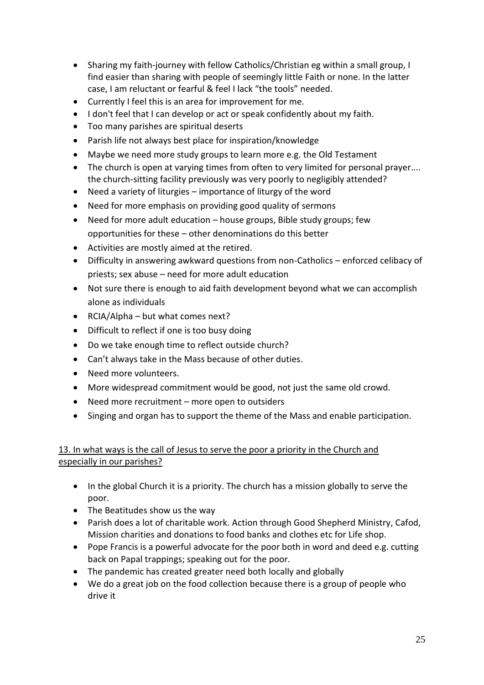- Sharing my faith-journey with fellow Catholics/Christian eg within a small group, I find easier than sharing with people of seemingly little Faith or none. In the latter case, I am reluctant or fearful & feel I lack "the tools" needed.
- Currently I feel this is an area for improvement for me.
- I don't feel that I can develop or act or speak confidently about my faith.
- Too many parishes are spiritual deserts
- Parish life not always best place for inspiration/knowledge
- Maybe we need more study groups to learn more e.g. the Old Testament
- The church is open at varying times from often to very limited for personal prayer.... the church-sitting facility previously was very poorly to negligibly attended?
- Need a variety of liturgies importance of liturgy of the word
- Need for more emphasis on providing good quality of sermons
- Need for more adult education house groups, Bible study groups; few opportunities for these – other denominations do this better
- Activities are mostly aimed at the retired.
- Difficulty in answering awkward questions from non-Catholics enforced celibacy of priests; sex abuse – need for more adult education
- Not sure there is enough to aid faith development beyond what we can accomplish alone as individuals
- RCIA/Alpha but what comes next?
- Difficult to reflect if one is too busy doing
- Do we take enough time to reflect outside church?
- Can't always take in the Mass because of other duties.
- Need more volunteers.
- More widespread commitment would be good, not just the same old crowd.
- Need more recruitment more open to outsiders
- Singing and organ has to support the theme of the Mass and enable participation.

### 13. In what ways is the call of Jesus to serve the poor a priority in the Church and especially in our parishes?

- In the global Church it is a priority. The church has a mission globally to serve the poor.
- The Beatitudes show us the way
- Parish does a lot of charitable work. Action through Good Shepherd Ministry, Cafod, Mission charities and donations to food banks and clothes etc for Life shop.
- Pope Francis is a powerful advocate for the poor both in word and deed e.g. cutting back on Papal trappings; speaking out for the poor.
- The pandemic has created greater need both locally and globally
- We do a great job on the food collection because there is a group of people who drive it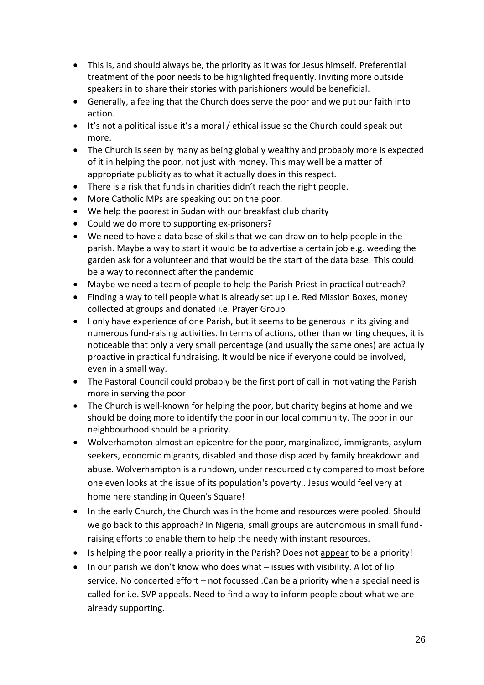- This is, and should always be, the priority as it was for Jesus himself. Preferential treatment of the poor needs to be highlighted frequently. Inviting more outside speakers in to share their stories with parishioners would be beneficial.
- Generally, a feeling that the Church does serve the poor and we put our faith into action.
- It's not a political issue it's a moral / ethical issue so the Church could speak out more.
- The Church is seen by many as being globally wealthy and probably more is expected of it in helping the poor, not just with money. This may well be a matter of appropriate publicity as to what it actually does in this respect.
- There is a risk that funds in charities didn't reach the right people.
- More Catholic MPs are speaking out on the poor.
- We help the poorest in Sudan with our breakfast club charity
- Could we do more to supporting ex-prisoners?
- We need to have a data base of skills that we can draw on to help people in the parish. Maybe a way to start it would be to advertise a certain job e.g. weeding the garden ask for a volunteer and that would be the start of the data base. This could be a way to reconnect after the pandemic
- Maybe we need a team of people to help the Parish Priest in practical outreach?
- Finding a way to tell people what is already set up i.e. Red Mission Boxes, money collected at groups and donated i.e. Prayer Group
- I only have experience of one Parish, but it seems to be generous in its giving and numerous fund-raising activities. In terms of actions, other than writing cheques, it is noticeable that only a very small percentage (and usually the same ones) are actually proactive in practical fundraising. It would be nice if everyone could be involved, even in a small way.
- The Pastoral Council could probably be the first port of call in motivating the Parish more in serving the poor
- The Church is well-known for helping the poor, but charity begins at home and we should be doing more to identify the poor in our local community. The poor in our neighbourhood should be a priority.
- Wolverhampton almost an epicentre for the poor, marginalized, immigrants, asylum seekers, economic migrants, disabled and those displaced by family breakdown and abuse. Wolverhampton is a rundown, under resourced city compared to most before one even looks at the issue of its population's poverty.. Jesus would feel very at home here standing in Queen's Square!
- In the early Church, the Church was in the home and resources were pooled. Should we go back to this approach? In Nigeria, small groups are autonomous in small fundraising efforts to enable them to help the needy with instant resources.
- Is helping the poor really a priority in the Parish? Does not appear to be a priority!
- In our parish we don't know who does what issues with visibility. A lot of lip service. No concerted effort – not focussed .Can be a priority when a special need is called for i.e. SVP appeals. Need to find a way to inform people about what we are already supporting.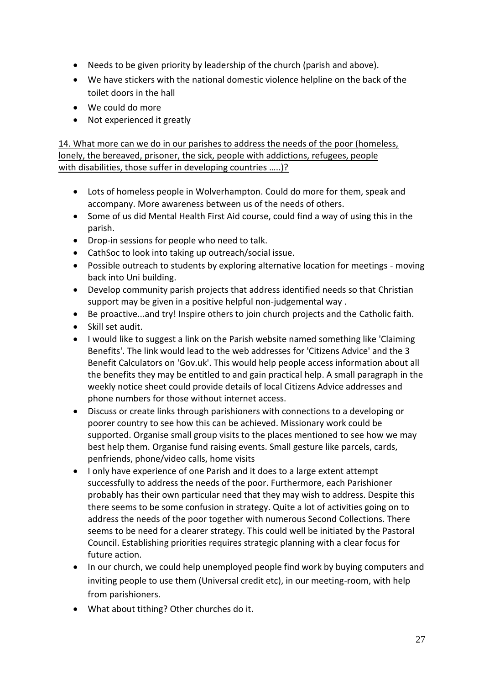- Needs to be given priority by leadership of the church (parish and above).
- We have stickers with the national domestic violence helpline on the back of the toilet doors in the hall
- We could do more
- Not experienced it greatly

14. What more can we do in our parishes to address the needs of the poor (homeless, lonely, the bereaved, prisoner, the sick, people with addictions, refugees, people with disabilities, those suffer in developing countries …..)?

- Lots of homeless people in Wolverhampton. Could do more for them, speak and accompany. More awareness between us of the needs of others.
- Some of us did Mental Health First Aid course, could find a way of using this in the parish.
- Drop-in sessions for people who need to talk.
- CathSoc to look into taking up outreach/social issue.
- Possible outreach to students by exploring alternative location for meetings moving back into Uni building.
- Develop community parish projects that address identified needs so that Christian support may be given in a positive helpful non-judgemental way .
- Be proactive...and try! Inspire others to join church projects and the Catholic faith.
- Skill set audit.
- I would like to suggest a link on the Parish website named something like 'Claiming Benefits'. The link would lead to the web addresses for 'Citizens Advice' and the 3 Benefit Calculators on 'Gov.uk'. This would help people access information about all the benefits they may be entitled to and gain practical help. A small paragraph in the weekly notice sheet could provide details of local Citizens Advice addresses and phone numbers for those without internet access.
- Discuss or create links through parishioners with connections to a developing or poorer country to see how this can be achieved. Missionary work could be supported. Organise small group visits to the places mentioned to see how we may best help them. Organise fund raising events. Small gesture like parcels, cards, penfriends, phone/video calls, home visits
- I only have experience of one Parish and it does to a large extent attempt successfully to address the needs of the poor. Furthermore, each Parishioner probably has their own particular need that they may wish to address. Despite this there seems to be some confusion in strategy. Quite a lot of activities going on to address the needs of the poor together with numerous Second Collections. There seems to be need for a clearer strategy. This could well be initiated by the Pastoral Council. Establishing priorities requires strategic planning with a clear focus for future action.
- In our church, we could help unemployed people find work by buying computers and inviting people to use them (Universal credit etc), in our meeting-room, with help from parishioners.
- What about tithing? Other churches do it.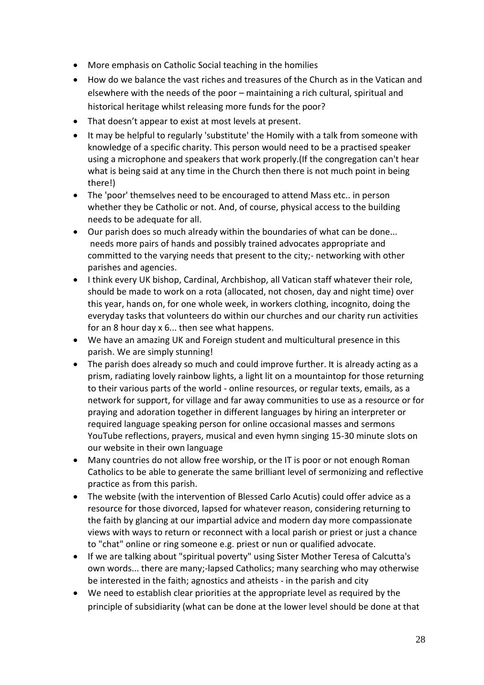- More emphasis on Catholic Social teaching in the homilies
- How do we balance the vast riches and treasures of the Church as in the Vatican and elsewhere with the needs of the poor – maintaining a rich cultural, spiritual and historical heritage whilst releasing more funds for the poor?
- That doesn't appear to exist at most levels at present.
- It may be helpful to regularly 'substitute' the Homily with a talk from someone with knowledge of a specific charity. This person would need to be a practised speaker using a microphone and speakers that work properly.(If the congregation can't hear what is being said at any time in the Church then there is not much point in being there!)
- The 'poor' themselves need to be encouraged to attend Mass etc.. in person whether they be Catholic or not. And, of course, physical access to the building needs to be adequate for all.
- Our parish does so much already within the boundaries of what can be done... needs more pairs of hands and possibly trained advocates appropriate and committed to the varying needs that present to the city;- networking with other parishes and agencies.
- I think every UK bishop, Cardinal, Archbishop, all Vatican staff whatever their role, should be made to work on a rota (allocated, not chosen, day and night time) over this year, hands on, for one whole week, in workers clothing, incognito, doing the everyday tasks that volunteers do within our churches and our charity run activities for an 8 hour day x 6... then see what happens.
- We have an amazing UK and Foreign student and multicultural presence in this parish. We are simply stunning!
- The parish does already so much and could improve further. It is already acting as a prism, radiating lovely rainbow lights, a light lit on a mountaintop for those returning to their various parts of the world - online resources, or regular texts, emails, as a network for support, for village and far away communities to use as a resource or for praying and adoration together in different languages by hiring an interpreter or required language speaking person for online occasional masses and sermons YouTube reflections, prayers, musical and even hymn singing 15-30 minute slots on our website in their own language
- Many countries do not allow free worship, or the IT is poor or not enough Roman Catholics to be able to generate the same brilliant level of sermonizing and reflective practice as from this parish.
- The website (with the intervention of Blessed Carlo Acutis) could offer advice as a resource for those divorced, lapsed for whatever reason, considering returning to the faith by glancing at our impartial advice and modern day more compassionate views with ways to return or reconnect with a local parish or priest or just a chance to "chat" online or ring someone e.g. priest or nun or qualified advocate.
- If we are talking about "spiritual poverty" using Sister Mother Teresa of Calcutta's own words... there are many;-lapsed Catholics; many searching who may otherwise be interested in the faith; agnostics and atheists - in the parish and city
- We need to establish clear priorities at the appropriate level as required by the principle of subsidiarity (what can be done at the lower level should be done at that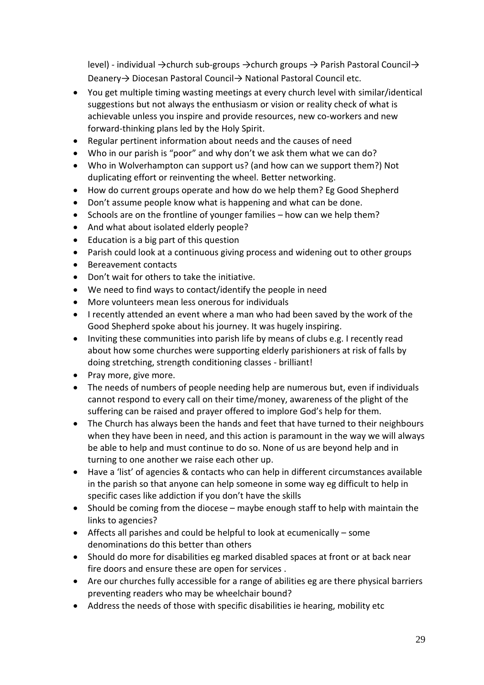level) - individual →church sub-groups →church groups → Parish Pastoral Council→ Deanery→ Diocesan Pastoral Council→ National Pastoral Council etc.

- You get multiple timing wasting meetings at every church level with similar/identical suggestions but not always the enthusiasm or vision or reality check of what is achievable unless you inspire and provide resources, new co-workers and new forward-thinking plans led by the Holy Spirit.
- Regular pertinent information about needs and the causes of need
- Who in our parish is "poor" and why don't we ask them what we can do?
- Who in Wolverhampton can support us? (and how can we support them?) Not duplicating effort or reinventing the wheel. Better networking.
- How do current groups operate and how do we help them? Eg Good Shepherd
- Don't assume people know what is happening and what can be done.
- Schools are on the frontline of younger families how can we help them?
- And what about isolated elderly people?
- Education is a big part of this question
- Parish could look at a continuous giving process and widening out to other groups
- Bereavement contacts
- Don't wait for others to take the initiative.
- We need to find ways to contact/identify the people in need
- More volunteers mean less onerous for individuals
- I recently attended an event where a man who had been saved by the work of the Good Shepherd spoke about his journey. It was hugely inspiring.
- Inviting these communities into parish life by means of clubs e.g. I recently read about how some churches were supporting elderly parishioners at risk of falls by doing stretching, strength conditioning classes - brilliant!
- Pray more, give more.
- The needs of numbers of people needing help are numerous but, even if individuals cannot respond to every call on their time/money, awareness of the plight of the suffering can be raised and prayer offered to implore God's help for them.
- The Church has always been the hands and feet that have turned to their neighbours when they have been in need, and this action is paramount in the way we will always be able to help and must continue to do so. None of us are beyond help and in turning to one another we raise each other up.
- Have a 'list' of agencies & contacts who can help in different circumstances available in the parish so that anyone can help someone in some way eg difficult to help in specific cases like addiction if you don't have the skills
- Should be coming from the diocese maybe enough staff to help with maintain the links to agencies?
- Affects all parishes and could be helpful to look at ecumenically some denominations do this better than others
- Should do more for disabilities eg marked disabled spaces at front or at back near fire doors and ensure these are open for services .
- Are our churches fully accessible for a range of abilities eg are there physical barriers preventing readers who may be wheelchair bound?
- Address the needs of those with specific disabilities ie hearing, mobility etc